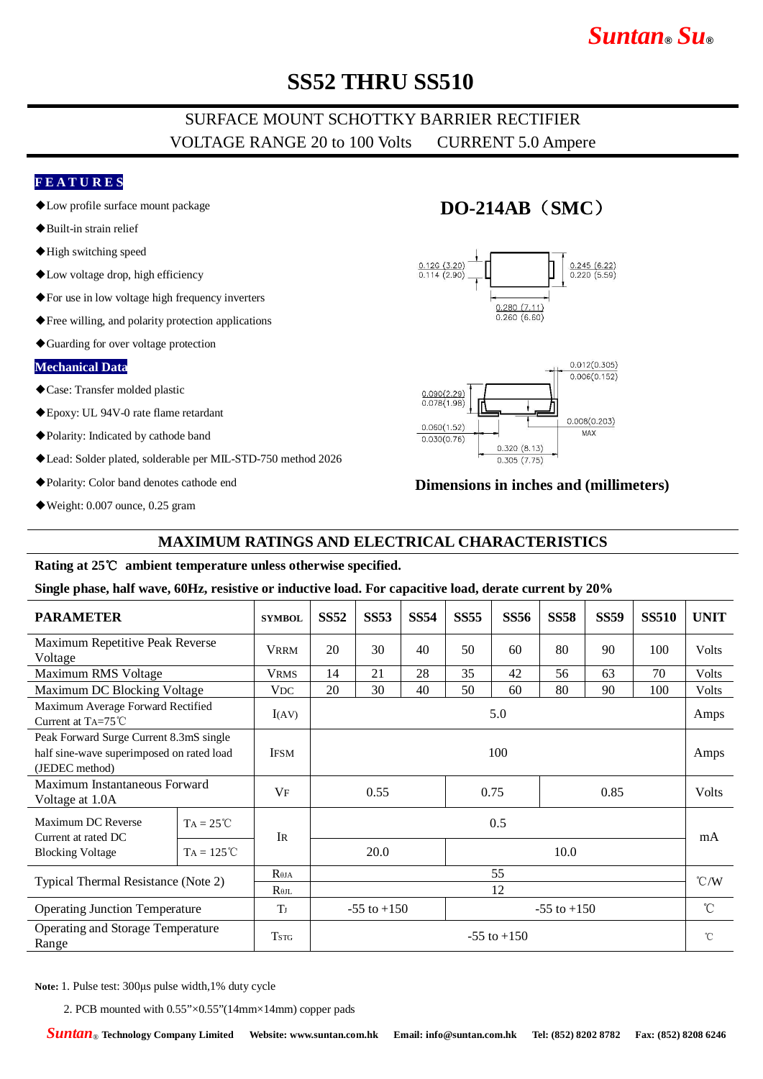# *Suntan***®** *Su***®**

# **SS52 THRU SS510**

## SURFACE MOUNT SCHOTTKY BARRIER RECTIFIER VOLTAGE RANGE 20 to 100 Volts CURRENT 5.0 Ampere

### **F E A T U R E S**

- ◆Low profile surface mount package
- ◆Built-in strain relief
- ◆High switching speed
- ◆Low voltage drop, high efficiency
- ◆For use in low voltage high frequency inverters
- ◆Free willing, and polarity protection applications
- ◆Guarding for over voltage protection

#### **Mechanical Data**

- ◆Case: Transfer molded plastic
- ◆Epoxy: UL 94V-0 rate flame retardant
- ◆Polarity: Indicated by cathode band
- ◆Lead: Solder plated, solderable per MIL-STD-750 method 2026
- ◆Polarity: Color band denotes cathode end
- ◆Weight: 0.007 ounce, 0.25 gram

## **DO-214AB**(**SMC**)





#### **Dimensions in inches and (millimeters)**

## **MAXIMUM RATINGS AND ELECTRICAL CHARACTERISTICS**

#### **Rating at 25**℃ **ambient temperature unless otherwise specified.**

#### **Single phase, half wave, 60Hz, resistive or inductive load. For capacitive load, derate current by 20%**

| <b>PARAMETER</b>                                                                                       |                     | <b>SYMBOL</b>      | <b>SS52</b>          | <b>SS53</b>     | <b>SS54</b> | <b>SS55</b> | <b>SS56</b> | <b>SS58</b>     | <b>SS59</b> | <b>SS510</b> | <b>UNIT</b>   |
|--------------------------------------------------------------------------------------------------------|---------------------|--------------------|----------------------|-----------------|-------------|-------------|-------------|-----------------|-------------|--------------|---------------|
| Maximum Repetitive Peak Reverse<br>Voltage                                                             |                     | <b>VRRM</b>        | 20                   | 30              | 40          | 50          | 60          | 80              | 90          | 100          | Volts         |
| Maximum RMS Voltage                                                                                    |                     | <b>VRMS</b>        | 14                   | 21              | 28          | 35          | 42          | 56              | 63          | 70           | Volts         |
| Maximum DC Blocking Voltage                                                                            |                     | <b>VDC</b>         | 20                   | 30              | 40          | 50          | 60          | 80              | 90          | 100          | <b>Volts</b>  |
| Maximum Average Forward Rectified<br>Current at TA=75 $\degree$ C                                      |                     | I(AV)              | 5.0                  |                 |             |             |             |                 |             |              | Amps          |
| Peak Forward Surge Current 8.3mS single<br>half sine-wave superimposed on rated load<br>(JEDEC method) |                     | <b>IFSM</b>        | 100                  |                 |             |             |             |                 |             |              | Amps          |
| Maximum Instantaneous Forward<br>Voltage at 1.0A                                                       |                     | $V_{\rm F}$        | 0.55<br>0.75<br>0.85 |                 |             |             |             | <b>Volts</b>    |             |              |               |
| Maximum DC Reverse<br>Current at rated DC<br><b>Blocking Voltage</b>                                   | $TA = 25^{\circ}C$  | IR                 | 0.5                  |                 |             |             |             |                 |             |              | mA            |
|                                                                                                        | $TA = 125^{\circ}C$ |                    |                      | 20.0            |             | 10.0        |             |                 |             |              |               |
| Typical Thermal Resistance (Note 2)                                                                    |                     | $R_{\theta JA}$    | 55                   |                 |             |             |             |                 |             |              | $\degree$ C/W |
|                                                                                                        |                     | $R_{\theta IL}$    | 12                   |                 |             |             |             |                 |             |              |               |
| <b>Operating Junction Temperature</b>                                                                  |                     | T                  |                      | $-55$ to $+150$ |             |             |             | $-55$ to $+150$ |             |              |               |
| Operating and Storage Temperature<br>Range                                                             |                     | $T_{\mathrm{STG}}$ | $-55$ to $+150$      |                 |             |             |             |                 |             |              | $^{\circ}$ C  |

**Note:** 1. Pulse test: 300μs pulse width,1% duty cycle

2. PCB mounted with  $0.55$ " $\times 0.55$ " $(14$ mm $\times 14$ mm $)$  copper pads